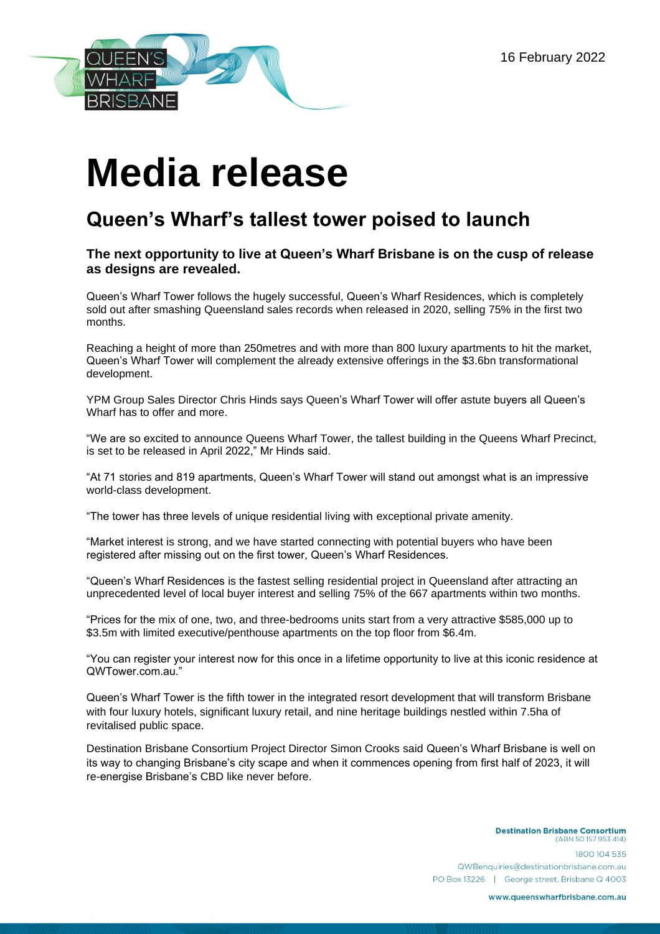

## **Media release**

## **Queen's Wharf's tallest tower poised to launch**

## **The next opportunity to live at Queen's Wharf Brisbane is on the cusp of release as designs are revealed.**

Queen's Wharf Tower follows the hugely successful, Queen's Wharf Residences, which is completely sold out after smashing Queensland sales records when released in 2020, selling 75% in the first two months.

Reaching a height of more than 250metres and with more than 800 luxury apartments to hit the market, Queen's Wharf Tower will complement the already extensive offerings in the \$3.6bn transformational development.

YPM Group Sales Director Chris Hinds says [Quee](https://www.dropbox.com/sh/j984b6s098ld5og/AAAVA6GedENwNuR8-zRiwf-Ha?dl=0)n's Wharf Tower will offer astute buyers all Queen's Wharf has to offer and more.

"We are so excited to announce Queens Wharf Tower, the tallest building in the Queens Wharf Precinct, is set to be released in April 2022," Mr Hinds said.

"At 71 stories and 819 apartments, Queen's Wharf Tower will stand out amongst what is an impressive world-class development.

"The tower has three levels of unique residential living with exceptional private amenity.

"Market interest is strong, and we have started connecting with potential buyers who have been registered after missing out on the first tower, Queen's Wharf Residences.

"Queen's Wharf Residences is the fastest selling residential project in Queensland after attracting an unprecedented level of local buyer interest and selling 75% of the 667 apartments within two months.

"Prices for the mix of one, two, and three-bedrooms units start from a very attractive \$585,000 up to \$3.5m with limited executive/penthouse apartments on the top floor from \$6.4m.

"You can register your interest now for this once in a lifetime opportunity to live at this iconic residence at QWTower.com.au."

Queen's Wharf Tower is the fifth tower in the integrated resort development that will transform Brisbane with four luxury hotels, significant luxury retail, and nine heritage buildings nestled within 7.5ha of revitalised public space.

Destination Brisbane Consortium Project Director Simon Crooks said Queen's Wharf Brisbane is well on its way to changing Brisbane's city scape and when it commences opening from first half of 2023, it will re-energise Brisbane's CBD like never before.

> **Destination Brisbane Consortium** (ABN 50 157 953 414) 1800 104 535 QWBenquiries@destinationbrisbane.com.au PO Box 13226 | George street, Brisbane Q 4003

> > www.queenswharfbrisbane.com.au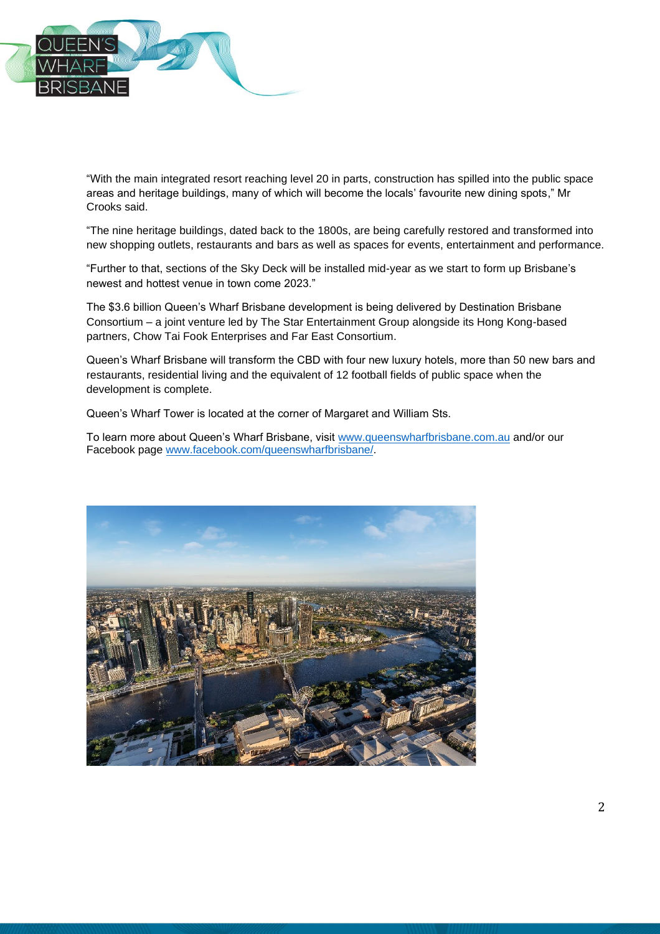

"With the main integrated resort reaching level 20 in parts, construction has spilled into the public space areas and heritage buildings, many of which will become the locals' favourite new dining spots," Mr Crooks said.

"The nine heritage buildings, dated back to the 1800s, are being carefully restored and transformed into new shopping outlets, restaurants and bars as well as spaces for events, entertainment and performance.

"Further to that, sections of the Sky Deck will be installed mid-year as we start to form up Brisbane's newest and hottest venue in town come 2023."

The \$3.6 billion Queen's Wharf Brisbane development is being delivered by Destination Brisbane Consortium – a joint venture led by The Star Entertainment Group alongside its Hong Kong-based partners, Chow Tai Fook Enterprises and Far East Consortium.

Queen's Wharf Brisbane will transform the CBD with four new luxury hotels, more than 50 new bars and restaurants, residential living and the equivalent of 12 football fields of public space when the development is complete.

Queen's Wharf Tower is located at the corner of Margaret and William Sts.

To learn more about Queen's Wharf Brisbane, visit [www.queenswharfbrisbane.com.au](http://www.queenswharfbrisbane.com.au/) and/or our Facebook page [www.facebook.com/queenswharfbrisbane/.](http://www.facebook.com/queenswharfbrisbane/)